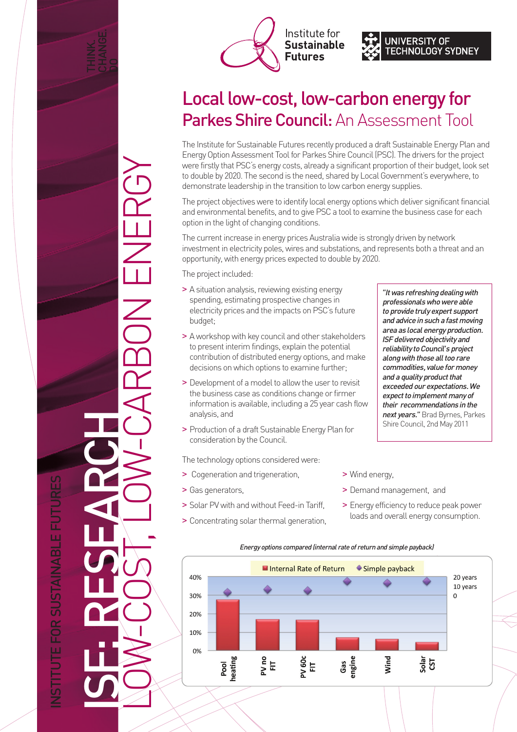





## Local low-cost, low-carbon energy for Parkes Shire Council: An Assessment Tool

The Institute for Sustainable Futures recently produced a draft Sustainable Energy Plan and Energy Option Assessment Tool for Parkes Shire Council (PSC). The drivers for the project were firstly that PSC's energy costs, already a significant proportion of their budget, look set to double by 2020. The second is the need, shared by Local Government's everywhere, to demonstrate leadership in the transition to low carbon energy supplies.

The project objectives were to identify local energy options which deliver significant financial and environmental benefits, and to give PSC a tool to examine the business case for each option in the light of changing conditions.

The current increase in energy prices Australia wide is strongly driven by network investment in electricity poles, wires and substations, and represents both a threat and an opportunity, with energy prices expected to double by 2020.

The project included:

- > A situation analysis, reviewing existing energy spending, estimating prospective changes in electricity prices and the impacts on PSC's future budget;
- > A workshop with key council and other stakeholders to present interim findings, explain the potential contribution of distributed energy options, and make decisions on which options to examine further;
- > Development of a model to allow the user to revisit the business case as conditions change or firmer information is available, including a 25 year cash flow analysis, and
- > Production of a draft Sustainable Energy Plan for consideration by the Council.

The technology options considered were:

- > Cogeneration and trigeneration,
- > Gas generators,
- > Solar PV with and without Feed-in Tariff,
- > Concentrating solar thermal generation,
- *"It was refreshing dealing with professionals who were able to provide truly expert support and advice in such a fast moving area as local energy production. ISF delivered objectivity and reliability to Council's project along with those all too rare commodities, value for money and a quality product that exceeded our expectations. We expect to implement many of their recommendations in the next years."*Brad Byrnes, Parkes Shire Council, 2nd May 2011
- > Wind energy,
- > Demand management, and
- > Energy efficiency to reduce peak power loads and overall energy consumption.



NSTITUTE FOR SUSTAINABLE FUTURES INSTITUTE FOR SUSTAINABLE FUTURES ISF: RESEARCH

LOW-COST, LOW-CARBON ENERGY